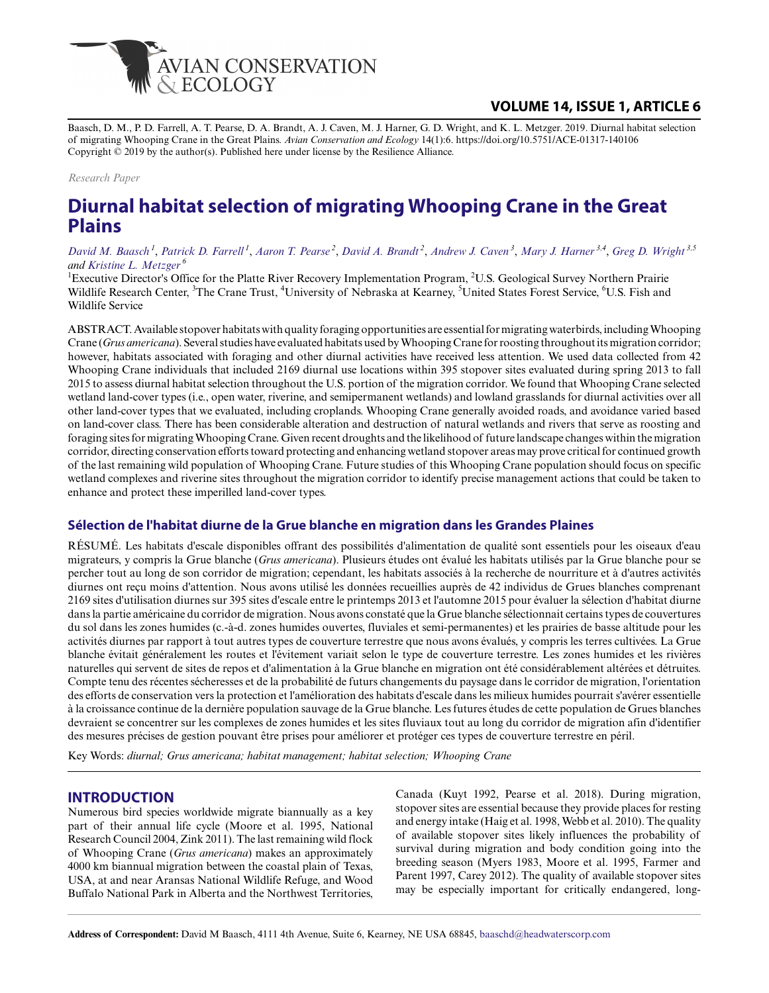

## **VOLUME 14, ISSUE 1, ARTICLE 6**

Baasch, D. M., P. D. Farrell, A. T. Pearse, D. A. Brandt, A. J. Caven, M. J. Harner, G. D. Wright, and K. L. Metzger. 2019. Diurnal habitat selection of migrating Whooping Crane in the Great Plains. *Avian Conservation and Ecology* 14(1):6. https://doi.org/10.5751/ACE-01317-140106 Copyright © 2019 by the author(s). Published here under license by the Resilience Alliance.

*Research Paper*

# **Diurnal habitat selection of migrating Whooping Crane in the Great Plains**

[David M. Baasch](mailto:baaschd@headwaterscorp.com)<sup>1</sup>, [Patrick D. Farrell](mailto:farrellp@headwaterscorp.com)<sup>1</sup>, [Aaron T. Pearse](mailto:apearse@usgs.gov)<sup>2</sup>, [David A. Brandt](mailto:dbrandt@usgs.gov)<sup>2</sup>, [Andrew J. Caven](mailto:acaven@cranetrust.org)<sup>3</sup>, [Mary J. Harner](mailto:harnermj@unk.edu)<sup>3,4</sup>, [Greg D. Wright](mailto:Gregorywright@fs.fed.us)<sup>3,5</sup> *and [Kristine L. Metzger](mailto:kris_metzger@fws.gov)<sup>6</sup>*

<sup>1</sup>Executive Director's Office for the Platte River Recovery Implementation Program, <sup>2</sup>U.S. Geological Survey Northern Prairie Wildlife Research Center, <sup>3</sup>The Crane Trust, <sup>4</sup>University of Nebraska at Kearney, <sup>5</sup>United States Forest Service, <sup>6</sup>U.S. Fish and Wildlife Service

ABSTRACT. Available stopover habitats with quality foraging opportunities are essential for migrating waterbirds, including Whooping Crane (*Grus americana*). Several studies have evaluated habitats used by Whooping Crane for roosting throughout its migration corridor; however, habitats associated with foraging and other diurnal activities have received less attention. We used data collected from 42 Whooping Crane individuals that included 2169 diurnal use locations within 395 stopover sites evaluated during spring 2013 to fall 2015 to assess diurnal habitat selection throughout the U.S. portion of the migration corridor. We found that Whooping Crane selected wetland land-cover types (i.e., open water, riverine, and semipermanent wetlands) and lowland grasslands for diurnal activities over all other land-cover types that we evaluated, including croplands. Whooping Crane generally avoided roads, and avoidance varied based on land-cover class. There has been considerable alteration and destruction of natural wetlands and rivers that serve as roosting and foraging sites for migrating Whooping Crane. Given recent droughts and the likelihood of future landscape changes within the migration corridor, directing conservation efforts toward protecting and enhancing wetland stopover areas may prove critical for continued growth of the last remaining wild population of Whooping Crane. Future studies of this Whooping Crane population should focus on specific wetland complexes and riverine sites throughout the migration corridor to identify precise management actions that could be taken to enhance and protect these imperilled land-cover types.

## **Sélection de l'habitat diurne de la Grue blanche en migration dans les Grandes Plaines**

RÉSUMÉ. Les habitats d'escale disponibles offrant des possibilités d'alimentation de qualité sont essentiels pour les oiseaux d'eau migrateurs, y compris la Grue blanche (*Grus americana*). Plusieurs études ont évalué les habitats utilisés par la Grue blanche pour se percher tout au long de son corridor de migration; cependant, les habitats associés à la recherche de nourriture et à d'autres activités diurnes ont reçu moins d'attention. Nous avons utilisé les données recueillies auprès de 42 individus de Grues blanches comprenant 2169 sites d'utilisation diurnes sur 395 sites d'escale entre le printemps 2013 et l'automne 2015 pour évaluer la sélection d'habitat diurne dans la partie américaine du corridor de migration. Nous avons constaté que la Grue blanche sélectionnait certains types de couvertures du sol dans les zones humides (c.-à-d. zones humides ouvertes, fluviales et semi-permanentes) et les prairies de basse altitude pour les activités diurnes par rapport à tout autres types de couverture terrestre que nous avons évalués, y compris les terres cultivées. La Grue blanche évitait généralement les routes et l'évitement variait selon le type de couverture terrestre. Les zones humides et les rivières naturelles qui servent de sites de repos et d'alimentation à la Grue blanche en migration ont été considérablement altérées et détruites. Compte tenu des récentes sécheresses et de la probabilité de futurs changements du paysage dans le corridor de migration, l'orientation des efforts de conservation vers la protection et l'amélioration des habitats d'escale dans les milieux humides pourrait s'avérer essentielle à la croissance continue de la dernière population sauvage de la Grue blanche. Les futures études de cette population de Grues blanches devraient se concentrer sur les complexes de zones humides et les sites fluviaux tout au long du corridor de migration afin d'identifier des mesures précises de gestion pouvant être prises pour améliorer et protéger ces types de couverture terrestre en péril.

Key Words: *diurnal; Grus americana; habitat management; habitat selection; Whooping Crane*

#### **INTRODUCTION**

Numerous bird species worldwide migrate biannually as a key part of their annual life cycle (Moore et al. 1995, National Research Council 2004, Zink 2011). The last remaining wild flock of Whooping Crane (*Grus americana*) makes an approximately 4000 km biannual migration between the coastal plain of Texas, USA, at and near Aransas National Wildlife Refuge, and Wood Buffalo National Park in Alberta and the Northwest Territories, Canada (Kuyt 1992, Pearse et al. 2018). During migration, stopover sites are essential because they provide places for resting and energy intake (Haig et al. 1998, Webb et al. 2010). The quality of available stopover sites likely influences the probability of survival during migration and body condition going into the breeding season (Myers 1983, Moore et al. 1995, Farmer and Parent 1997, Carey 2012). The quality of available stopover sites may be especially important for critically endangered, long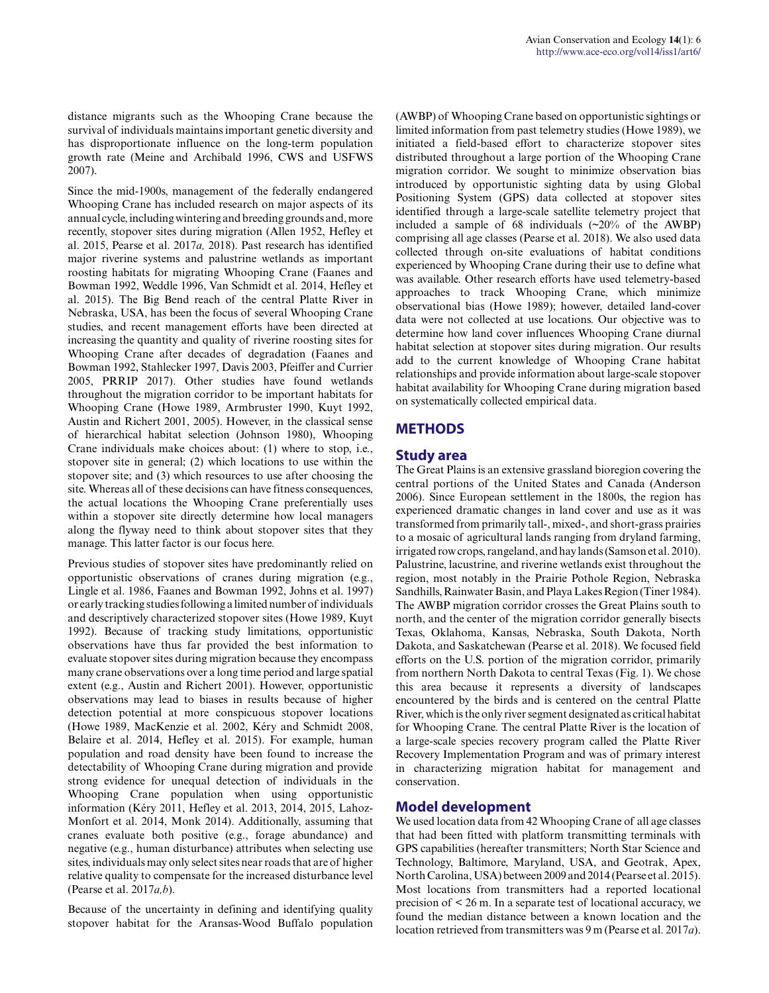distance migrants such as the Whooping Crane because the survival of individuals maintains important genetic diversity and has disproportionate influence on the long-term population growth rate (Meine and Archibald 1996, CWS and USFWS 2007).

Since the mid-1900s, management of the federally endangered Whooping Crane has included research on major aspects of its annual cycle, including wintering and breeding grounds and, more recently, stopover sites during migration (Allen 1952, Hefley et al. 2015, Pearse et al. 2017*a,* 2018). Past research has identified major riverine systems and palustrine wetlands as important roosting habitats for migrating Whooping Crane (Faanes and Bowman 1992, Weddle 1996, Van Schmidt et al. 2014, Hefley et al. 2015). The Big Bend reach of the central Platte River in Nebraska, USA, has been the focus of several Whooping Crane studies, and recent management efforts have been directed at increasing the quantity and quality of riverine roosting sites for Whooping Crane after decades of degradation (Faanes and Bowman 1992, Stahlecker 1997, Davis 2003, Pfeiffer and Currier 2005, PRRIP 2017). Other studies have found wetlands throughout the migration corridor to be important habitats for Whooping Crane (Howe 1989, Armbruster 1990, Kuyt 1992, Austin and Richert 2001, 2005). However, in the classical sense of hierarchical habitat selection (Johnson 1980), Whooping Crane individuals make choices about: (1) where to stop, i.e., stopover site in general; (2) which locations to use within the stopover site; and (3) which resources to use after choosing the site. Whereas all of these decisions can have fitness consequences, the actual locations the Whooping Crane preferentially uses within a stopover site directly determine how local managers along the flyway need to think about stopover sites that they manage. This latter factor is our focus here.

Previous studies of stopover sites have predominantly relied on opportunistic observations of cranes during migration (e.g., Lingle et al. 1986, Faanes and Bowman 1992, Johns et al. 1997) or early tracking studies following a limited number of individuals and descriptively characterized stopover sites (Howe 1989, Kuyt 1992). Because of tracking study limitations, opportunistic observations have thus far provided the best information to evaluate stopover sites during migration because they encompass many crane observations over a long time period and large spatial extent (e.g., Austin and Richert 2001). However, opportunistic observations may lead to biases in results because of higher detection potential at more conspicuous stopover locations (Howe 1989, MacKenzie et al. 2002, Kéry and Schmidt 2008, Belaire et al. 2014, Hefley et al. 2015). For example, human population and road density have been found to increase the detectability of Whooping Crane during migration and provide strong evidence for unequal detection of individuals in the Whooping Crane population when using opportunistic information (Kéry 2011, Hefley et al. 2013, 2014, 2015, Lahoz-Monfort et al. 2014, Monk 2014). Additionally, assuming that cranes evaluate both positive (e.g., forage abundance) and negative (e.g., human disturbance) attributes when selecting use sites, individuals may only select sites near roads that are of higher relative quality to compensate for the increased disturbance level (Pearse et al. 2017*a,b*).

Because of the uncertainty in defining and identifying quality stopover habitat for the Aransas-Wood Buffalo population (AWBP) of Whooping Crane based on opportunistic sightings or limited information from past telemetry studies (Howe 1989), we initiated a field-based effort to characterize stopover sites distributed throughout a large portion of the Whooping Crane migration corridor. We sought to minimize observation bias introduced by opportunistic sighting data by using Global Positioning System (GPS) data collected at stopover sites identified through a large-scale satellite telemetry project that included a sample of 68 individuals  $(\sim 20\%$  of the AWBP) comprising all age classes (Pearse et al. 2018). We also used data collected through on-site evaluations of habitat conditions experienced by Whooping Crane during their use to define what was available. Other research efforts have used telemetry-based approaches to track Whooping Crane, which minimize observational bias (Howe 1989); however, detailed land-cover data were not collected at use locations. Our objective was to determine how land cover influences Whooping Crane diurnal habitat selection at stopover sites during migration. Our results add to the current knowledge of Whooping Crane habitat relationships and provide information about large-scale stopover habitat availability for Whooping Crane during migration based on systematically collected empirical data.

### **METHODS**

#### **Study area**

The Great Plains is an extensive grassland bioregion covering the central portions of the United States and Canada (Anderson 2006). Since European settlement in the 1800s, the region has experienced dramatic changes in land cover and use as it was transformed from primarily tall-, mixed-, and short-grass prairies to a mosaic of agricultural lands ranging from dryland farming, irrigated row crops, rangeland, and hay lands (Samson et al. 2010). Palustrine, lacustrine, and riverine wetlands exist throughout the region, most notably in the Prairie Pothole Region, Nebraska Sandhills, Rainwater Basin, and Playa Lakes Region (Tiner 1984). The AWBP migration corridor crosses the Great Plains south to north, and the center of the migration corridor generally bisects Texas, Oklahoma, Kansas, Nebraska, South Dakota, North Dakota, and Saskatchewan (Pearse et al. 2018). We focused field efforts on the U.S. portion of the migration corridor, primarily from northern North Dakota to central Texas (Fig. 1). We chose this area because it represents a diversity of landscapes encountered by the birds and is centered on the central Platte River, which is the only river segment designated as critical habitat for Whooping Crane. The central Platte River is the location of a large-scale species recovery program called the Platte River Recovery Implementation Program and was of primary interest in characterizing migration habitat for management and conservation.

#### **Model development**

We used location data from 42 Whooping Crane of all age classes that had been fitted with platform transmitting terminals with GPS capabilities (hereafter transmitters; North Star Science and Technology, Baltimore, Maryland, USA, and Geotrak, Apex, North Carolina, USA) between 2009 and 2014 (Pearse et al. 2015). Most locations from transmitters had a reported locational precision of < 26 m. In a separate test of locational accuracy, we found the median distance between a known location and the location retrieved from transmitters was 9 m (Pearse et al. 2017*a*).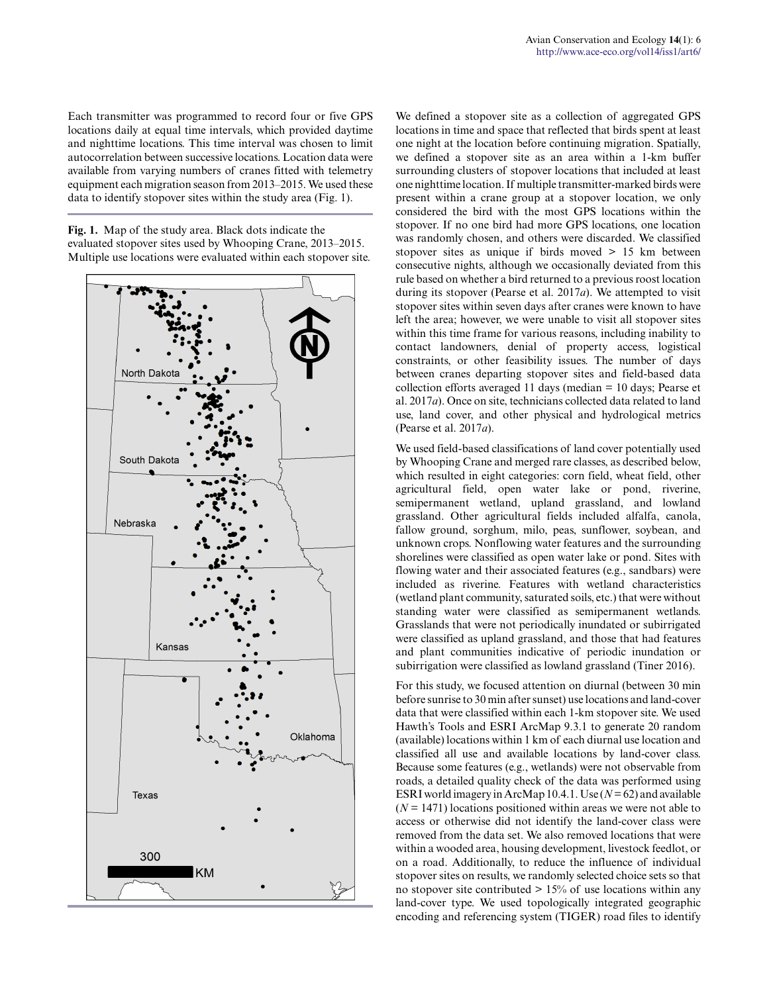Each transmitter was programmed to record four or five GPS locations daily at equal time intervals, which provided daytime and nighttime locations. This time interval was chosen to limit autocorrelation between successive locations. Location data were available from varying numbers of cranes fitted with telemetry equipment each migration season from 2013–2015. We used these data to identify stopover sites within the study area (Fig. 1).

**Fig. 1.** Map of the study area. Black dots indicate the evaluated stopover sites used by Whooping Crane, 2013–2015. Multiple use locations were evaluated within each stopover site.



We defined a stopover site as a collection of aggregated GPS locations in time and space that reflected that birds spent at least one night at the location before continuing migration. Spatially, we defined a stopover site as an area within a 1-km buffer surrounding clusters of stopover locations that included at least one nighttime location. If multiple transmitter-marked birds were present within a crane group at a stopover location, we only considered the bird with the most GPS locations within the stopover. If no one bird had more GPS locations, one location was randomly chosen, and others were discarded. We classified stopover sites as unique if birds moved > 15 km between consecutive nights, although we occasionally deviated from this rule based on whether a bird returned to a previous roost location during its stopover (Pearse et al. 2017*a*). We attempted to visit stopover sites within seven days after cranes were known to have left the area; however, we were unable to visit all stopover sites within this time frame for various reasons, including inability to contact landowners, denial of property access, logistical constraints, or other feasibility issues. The number of days between cranes departing stopover sites and field-based data collection efforts averaged 11 days (median = 10 days; Pearse et al. 2017*a*). Once on site, technicians collected data related to land use, land cover, and other physical and hydrological metrics (Pearse et al. 2017*a*).

We used field-based classifications of land cover potentially used by Whooping Crane and merged rare classes, as described below, which resulted in eight categories: corn field, wheat field, other agricultural field, open water lake or pond, riverine, semipermanent wetland, upland grassland, and lowland grassland. Other agricultural fields included alfalfa, canola, fallow ground, sorghum, milo, peas, sunflower, soybean, and unknown crops. Nonflowing water features and the surrounding shorelines were classified as open water lake or pond. Sites with flowing water and their associated features (e.g., sandbars) were included as riverine. Features with wetland characteristics (wetland plant community, saturated soils, etc.) that were without standing water were classified as semipermanent wetlands. Grasslands that were not periodically inundated or subirrigated were classified as upland grassland, and those that had features and plant communities indicative of periodic inundation or subirrigation were classified as lowland grassland (Tiner 2016).

For this study, we focused attention on diurnal (between 30 min before sunrise to 30 min after sunset) use locations and land-cover data that were classified within each 1-km stopover site. We used Hawth's Tools and ESRI ArcMap 9.3.1 to generate 20 random (available) locations within 1 km of each diurnal use location and classified all use and available locations by land-cover class. Because some features (e.g., wetlands) were not observable from roads, a detailed quality check of the data was performed using ESRI world imagery in ArcMap 10.4.1. Use  $(N = 62)$  and available  $(N = 1471)$  locations positioned within areas we were not able to access or otherwise did not identify the land-cover class were removed from the data set. We also removed locations that were within a wooded area, housing development, livestock feedlot, or on a road. Additionally, to reduce the influence of individual stopover sites on results, we randomly selected choice sets so that no stopover site contributed  $> 15\%$  of use locations within any land-cover type. We used topologically integrated geographic encoding and referencing system (TIGER) road files to identify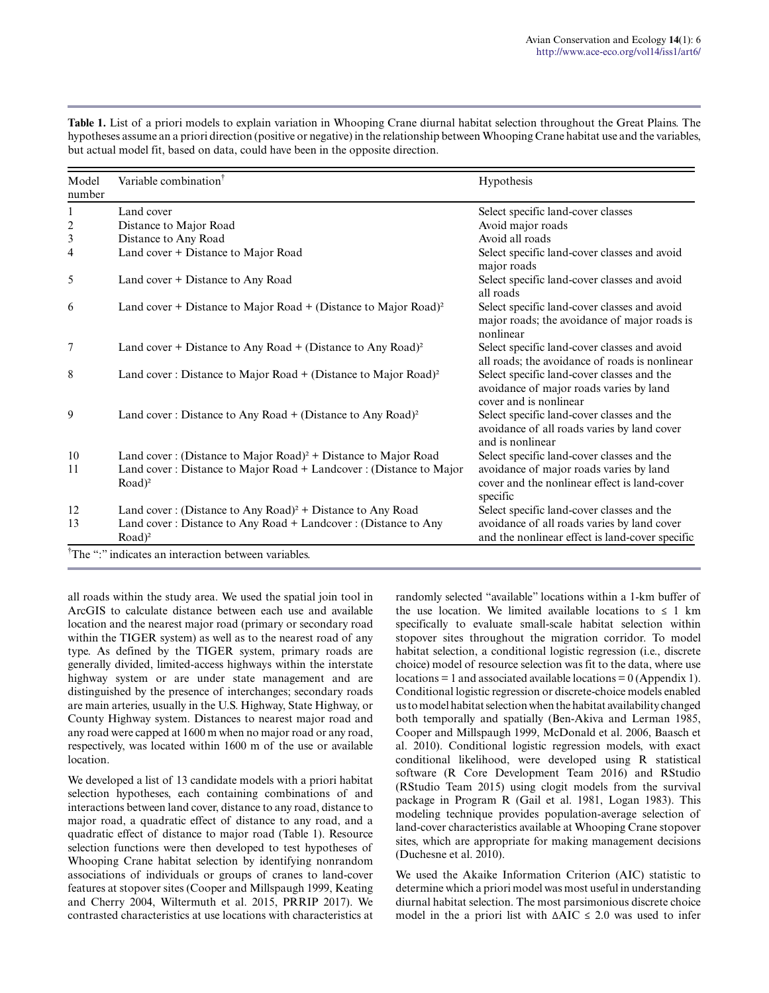| Model<br>number         | Variable combination <sup>†</sup>                                                        | Hypothesis                                                                                                      |
|-------------------------|------------------------------------------------------------------------------------------|-----------------------------------------------------------------------------------------------------------------|
| 1                       | Land cover                                                                               | Select specific land-cover classes                                                                              |
| $\overline{\mathbf{c}}$ | Distance to Major Road                                                                   | Avoid major roads                                                                                               |
| $\mathfrak{Z}$          | Distance to Any Road                                                                     | Avoid all roads                                                                                                 |
| 4                       | Land cover + Distance to Major Road                                                      | Select specific land-cover classes and avoid<br>major roads                                                     |
| 5                       | Land cover + Distance to Any Road                                                        | Select specific land-cover classes and avoid<br>all roads                                                       |
| 6                       | Land cover + Distance to Major Road + (Distance to Major Road) <sup>2</sup>              | Select specific land-cover classes and avoid<br>major roads; the avoidance of major roads is<br>nonlinear       |
| 7                       | Land cover + Distance to Any Road + (Distance to Any Road) <sup>2</sup>                  | Select specific land-cover classes and avoid<br>all roads; the avoidance of roads is nonlinear                  |
| 8                       | Land cover : Distance to Major Road + (Distance to Major Road) <sup>2</sup>              | Select specific land-cover classes and the<br>avoidance of major roads varies by land<br>cover and is nonlinear |
| 9                       | Land cover : Distance to Any Road + (Distance to Any Road) <sup>2</sup>                  | Select specific land-cover classes and the<br>avoidance of all roads varies by land cover<br>and is nonlinear   |
| 10                      | Land cover: (Distance to Major Road) <sup>2</sup> + Distance to Major Road               | Select specific land-cover classes and the                                                                      |
| 11                      | Land cover: Distance to Major Road + Landcover: (Distance to Major<br>Road) <sup>2</sup> | avoidance of major roads varies by land<br>cover and the nonlinear effect is land-cover<br>specific             |
| 12                      | Land cover: (Distance to Any Road) <sup>2</sup> + Distance to Any Road                   | Select specific land-cover classes and the                                                                      |
| 13                      | Land cover: Distance to Any Road + Landcover: (Distance to Any                           | avoidance of all roads varies by land cover                                                                     |
|                         | Road) <sup>2</sup>                                                                       | and the nonlinear effect is land-cover specific                                                                 |
|                         | <sup>†</sup> The ":" indicates an interaction between variables.                         |                                                                                                                 |

**Table 1.** List of a priori models to explain variation in Whooping Crane diurnal habitat selection throughout the Great Plains. The hypotheses assume an a priori direction (positive or negative) in the relationship between Whooping Crane habitat use and the variables, but actual model fit, based on data, could have been in the opposite direction.

all roads within the study area. We used the spatial join tool in ArcGIS to calculate distance between each use and available location and the nearest major road (primary or secondary road within the TIGER system) as well as to the nearest road of any type. As defined by the TIGER system, primary roads are generally divided, limited-access highways within the interstate highway system or are under state management and are distinguished by the presence of interchanges; secondary roads are main arteries, usually in the U.S. Highway, State Highway, or County Highway system. Distances to nearest major road and any road were capped at 1600 m when no major road or any road, respectively, was located within 1600 m of the use or available location.

We developed a list of 13 candidate models with a priori habitat selection hypotheses, each containing combinations of and interactions between land cover, distance to any road, distance to major road, a quadratic effect of distance to any road, and a quadratic effect of distance to major road (Table 1). Resource selection functions were then developed to test hypotheses of Whooping Crane habitat selection by identifying nonrandom associations of individuals or groups of cranes to land-cover features at stopover sites (Cooper and Millspaugh 1999, Keating and Cherry 2004, Wiltermuth et al. 2015, PRRIP 2017). We contrasted characteristics at use locations with characteristics at randomly selected "available" locations within a 1-km buffer of the use location. We limited available locations to  $\leq 1$  km specifically to evaluate small-scale habitat selection within stopover sites throughout the migration corridor. To model habitat selection, a conditional logistic regression (i.e., discrete choice) model of resource selection was fit to the data, where use locations  $= 1$  and associated available locations  $= 0$  (Appendix 1). Conditional logistic regression or discrete-choice models enabled us to model habitat selection when the habitat availability changed both temporally and spatially (Ben-Akiva and Lerman 1985, Cooper and Millspaugh 1999, McDonald et al. 2006, Baasch et al. 2010). Conditional logistic regression models, with exact conditional likelihood, were developed using R statistical software (R Core Development Team 2016) and RStudio (RStudio Team 2015) using clogit models from the survival package in Program R (Gail et al. 1981, Logan 1983). This modeling technique provides population-average selection of land-cover characteristics available at Whooping Crane stopover sites, which are appropriate for making management decisions (Duchesne et al. 2010).

We used the Akaike Information Criterion (AIC) statistic to determine which a priori model was most useful in understanding diurnal habitat selection. The most parsimonious discrete choice model in the a priori list with  $\triangle AIC \leq 2.0$  was used to infer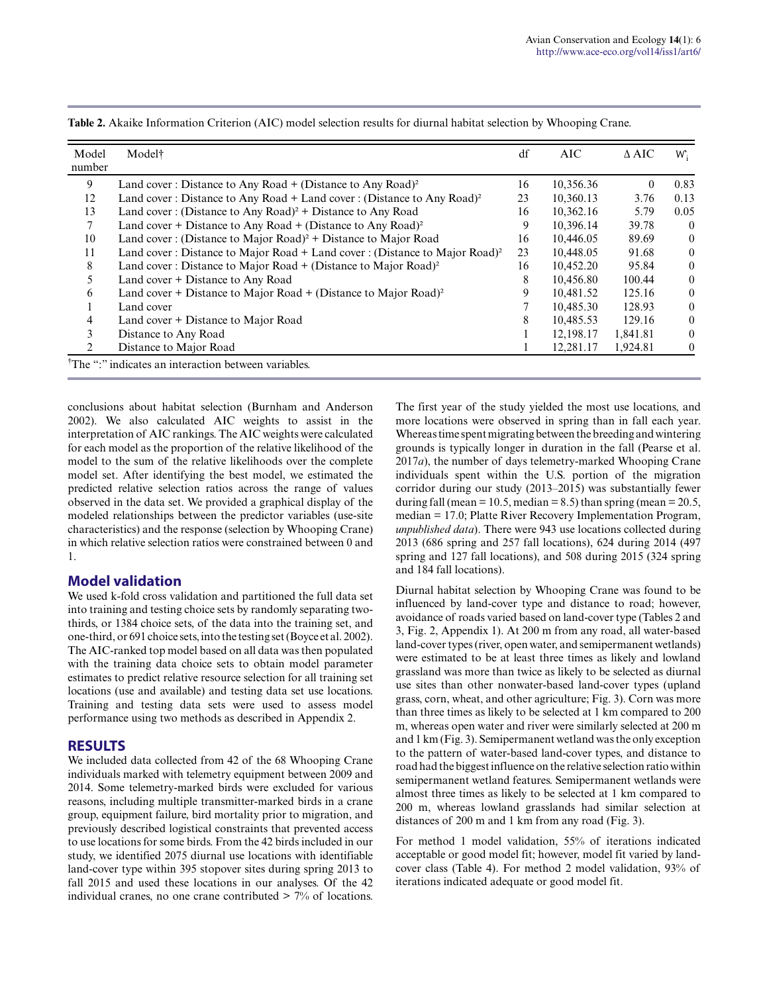| Model<br>number | Model <sup>†</sup>                                                                       | df | AIC       | $\triangle$ AIC | W.       |
|-----------------|------------------------------------------------------------------------------------------|----|-----------|-----------------|----------|
|                 |                                                                                          |    |           |                 |          |
| 9               | Land cover: Distance to Any Road $+$ (Distance to Any Road) <sup>2</sup>                 | 16 | 10,356.36 | $\Omega$        | 0.83     |
| 12              | Land cover: Distance to Any Road + Land cover: (Distance to Any Road) <sup>2</sup>       | 23 | 10,360.13 | 3.76            | 0.13     |
| 13              | Land cover: (Distance to Any Road) <sup>2</sup> + Distance to Any Road                   | 16 | 10,362.16 | 5.79            | 0.05     |
| 7               | Land cover $+$ Distance to Any Road $+$ (Distance to Any Road) <sup>2</sup>              | 9  | 10,396.14 | 39.78           | $\theta$ |
| 10              | Land cover: (Distance to Major Road) <sup>2</sup> + Distance to Major Road               | 16 | 10.446.05 | 89.69           | $\theta$ |
| 11              | Land cover : Distance to Major Road + Land cover : (Distance to Major Road) <sup>2</sup> | 23 | 10,448.05 | 91.68           | $\theta$ |
| 8               | Land cover : Distance to Major Road + (Distance to Major Road) <sup>2</sup>              | 16 | 10.452.20 | 95.84           | $\theta$ |
| 5.              | Land cover + Distance to Any Road                                                        | 8  | 10,456.80 | 100.44          | $\theta$ |
| 6               | Land cover + Distance to Major Road + (Distance to Major Road) <sup>2</sup>              | 9  | 10,481.52 | 125.16          | $\theta$ |
|                 | Land cover                                                                               |    | 10,485.30 | 128.93          | $\theta$ |
| 4               | Land cover + Distance to Major Road                                                      | 8  | 10,485.53 | 129.16          | $^{(1)}$ |
| 3               | Distance to Any Road                                                                     |    | 12,198.17 | 1,841.81        | 0        |
| 2               | Distance to Major Road                                                                   |    | 12,281.17 | 1,924.81        | 0        |
|                 | <sup>†</sup> The ":" indicates an interaction between variables.                         |    |           |                 |          |

**Table 2.** Akaike Information Criterion (AIC) model selection results for diurnal habitat selection by Whooping Crane.

conclusions about habitat selection (Burnham and Anderson 2002). We also calculated AIC weights to assist in the interpretation of AIC rankings. The AIC weights were calculated for each model as the proportion of the relative likelihood of the model to the sum of the relative likelihoods over the complete model set. After identifying the best model, we estimated the predicted relative selection ratios across the range of values observed in the data set. We provided a graphical display of the modeled relationships between the predictor variables (use-site characteristics) and the response (selection by Whooping Crane) in which relative selection ratios were constrained between 0 and 1.

#### **Model validation**

We used k-fold cross validation and partitioned the full data set into training and testing choice sets by randomly separating twothirds, or 1384 choice sets, of the data into the training set, and one-third, or 691 choice sets, into the testing set (Boyce et al. 2002). The AIC-ranked top model based on all data was then populated with the training data choice sets to obtain model parameter estimates to predict relative resource selection for all training set locations (use and available) and testing data set use locations. Training and testing data sets were used to assess model performance using two methods as described in Appendix 2.

#### **RESULTS**

We included data collected from 42 of the 68 Whooping Crane individuals marked with telemetry equipment between 2009 and 2014. Some telemetry-marked birds were excluded for various reasons, including multiple transmitter-marked birds in a crane group, equipment failure, bird mortality prior to migration, and previously described logistical constraints that prevented access to use locations for some birds. From the 42 birds included in our study, we identified 2075 diurnal use locations with identifiable land-cover type within 395 stopover sites during spring 2013 to fall 2015 and used these locations in our analyses. Of the 42 individual cranes, no one crane contributed > 7% of locations. The first year of the study yielded the most use locations, and more locations were observed in spring than in fall each year. Whereas time spent migrating between the breeding and wintering grounds is typically longer in duration in the fall (Pearse et al. 2017*a*), the number of days telemetry-marked Whooping Crane individuals spent within the U.S. portion of the migration corridor during our study (2013–2015) was substantially fewer during fall (mean = 10.5, median = 8.5) than spring (mean = 20.5, median = 17.0; Platte River Recovery Implementation Program, *unpublished data*). There were 943 use locations collected during 2013 (686 spring and 257 fall locations), 624 during 2014 (497 spring and 127 fall locations), and 508 during 2015 (324 spring and 184 fall locations).

Diurnal habitat selection by Whooping Crane was found to be influenced by land-cover type and distance to road; however, avoidance of roads varied based on land-cover type (Tables 2 and 3, Fig. 2, Appendix 1). At 200 m from any road, all water-based land-cover types (river, open water, and semipermanent wetlands) were estimated to be at least three times as likely and lowland grassland was more than twice as likely to be selected as diurnal use sites than other nonwater-based land-cover types (upland grass, corn, wheat, and other agriculture; Fig. 3). Corn was more than three times as likely to be selected at 1 km compared to 200 m, whereas open water and river were similarly selected at 200 m and 1 km (Fig. 3). Semipermanent wetland was the only exception to the pattern of water-based land-cover types, and distance to road had the biggest influence on the relative selection ratio within semipermanent wetland features. Semipermanent wetlands were almost three times as likely to be selected at 1 km compared to 200 m, whereas lowland grasslands had similar selection at distances of 200 m and 1 km from any road (Fig. 3).

For method 1 model validation, 55% of iterations indicated acceptable or good model fit; however, model fit varied by landcover class (Table 4). For method 2 model validation, 93% of iterations indicated adequate or good model fit.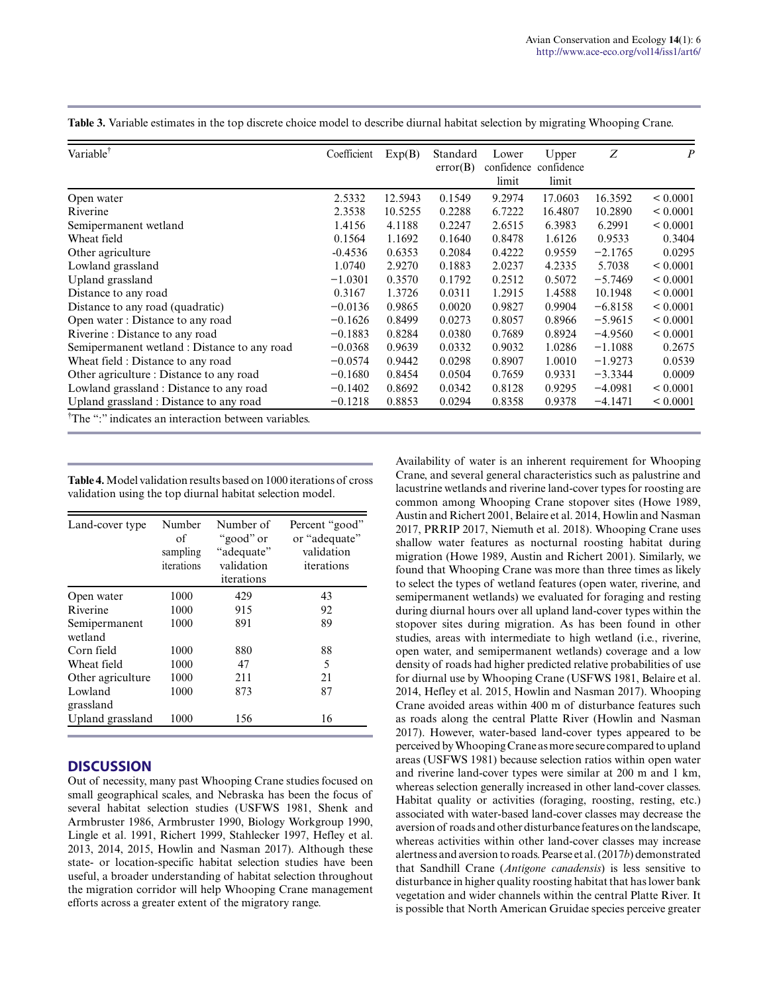| Variable <sup>†</sup>                               | Coefficient | Exp(B)  | Standard<br>error(B) | Lower  | Upper<br>confidence confidence | Z         | P             |
|-----------------------------------------------------|-------------|---------|----------------------|--------|--------------------------------|-----------|---------------|
|                                                     |             |         |                      | limit  | limit                          |           |               |
| Open water                                          | 2.5332      | 12.5943 | 0.1549               | 9.2974 | 17.0603                        | 16.3592   | ${}_{0.0001}$ |
| Riverine                                            | 2.3538      | 10.5255 | 0.2288               | 6.7222 | 16.4807                        | 10.2890   | ${}_{0.0001}$ |
| Semipermanent wetland                               | 1.4156      | 4.1188  | 0.2247               | 2.6515 | 6.3983                         | 6.2991    | ${}_{0.0001}$ |
| Wheat field                                         | 0.1564      | 1.1692  | 0.1640               | 0.8478 | 1.6126                         | 0.9533    | 0.3404        |
| Other agriculture                                   | $-0.4536$   | 0.6353  | 0.2084               | 0.4222 | 0.9559                         | $-2.1765$ | 0.0295        |
| Lowland grassland                                   | 1.0740      | 2.9270  | 0.1883               | 2.0237 | 4.2335                         | 5.7038    | ${}_{0.0001}$ |
| Upland grassland                                    | $-1.0301$   | 0.3570  | 0.1792               | 0.2512 | 0.5072                         | $-5.7469$ | ${}_{0.0001}$ |
| Distance to any road                                | 0.3167      | 1.3726  | 0.0311               | 1.2915 | 1.4588                         | 10.1948   | ${}_{0.0001}$ |
| Distance to any road (quadratic)                    | $-0.0136$   | 0.9865  | 0.0020               | 0.9827 | 0.9904                         | $-6.8158$ | ${}_{0.0001}$ |
| Open water: Distance to any road                    | $-0.1626$   | 0.8499  | 0.0273               | 0.8057 | 0.8966                         | $-5.9615$ | ${}_{0.0001}$ |
| Riverine: Distance to any road                      | $-0.1883$   | 0.8284  | 0.0380               | 0.7689 | 0.8924                         | $-4.9560$ | ${}_{0.0001}$ |
| Semipermanent wetland: Distance to any road         | $-0.0368$   | 0.9639  | 0.0332               | 0.9032 | 1.0286                         | $-1.1088$ | 0.2675        |
| Wheat field : Distance to any road                  | $-0.0574$   | 0.9442  | 0.0298               | 0.8907 | 1.0010                         | $-1.9273$ | 0.0539        |
| Other agriculture : Distance to any road            | $-0.1680$   | 0.8454  | 0.0504               | 0.7659 | 0.9331                         | $-3.3344$ | 0.0009        |
| Lowland grassland: Distance to any road             | $-0.1402$   | 0.8692  | 0.0342               | 0.8128 | 0.9295                         | $-4.0981$ | ${}_{0.0001}$ |
| Upland grassland : Distance to any road             | $-0.1218$   | 0.8853  | 0.0294               | 0.8358 | 0.9378                         | $-4.1471$ | < 0.0001      |
| The ":" indicates an interaction between variables. |             |         |                      |        |                                |           |               |

**Table 3.** Variable estimates in the top discrete choice model to describe diurnal habitat selection by migrating Whooping Crane.

**Table 4.** Model validation results based on 1000 iterations of cross validation using the top diurnal habitat selection model.

| Land-cover type          | Number<br>of<br>sampling<br>iterations | Number of<br>"good" or<br>"adequate"<br>validation<br>iterations | Percent "good"<br>or "adequate"<br>validation<br>iterations |
|--------------------------|----------------------------------------|------------------------------------------------------------------|-------------------------------------------------------------|
| Open water               | 1000                                   | 429                                                              | 43                                                          |
| Riverine                 | 1000                                   | 915                                                              | 92                                                          |
| Semipermanent<br>wetland | 1000                                   | 891                                                              | 89                                                          |
| Corn field               | 1000                                   | 880                                                              | 88                                                          |
| Wheat field              | 1000                                   | 47                                                               | 5                                                           |
| Other agriculture        | 1000                                   | 211                                                              | 21                                                          |
| Lowland<br>grassland     | 1000                                   | 873                                                              | 87                                                          |
| Upland grassland         | 1000                                   | 156                                                              | 16                                                          |

#### **DISCUSSION**

Out of necessity, many past Whooping Crane studies focused on small geographical scales, and Nebraska has been the focus of several habitat selection studies (USFWS 1981, Shenk and Armbruster 1986, Armbruster 1990, Biology Workgroup 1990, Lingle et al. 1991, Richert 1999, Stahlecker 1997, Hefley et al. 2013, 2014, 2015, Howlin and Nasman 2017). Although these state- or location-specific habitat selection studies have been useful, a broader understanding of habitat selection throughout the migration corridor will help Whooping Crane management efforts across a greater extent of the migratory range.

Availability of water is an inherent requirement for Whooping Crane, and several general characteristics such as palustrine and lacustrine wetlands and riverine land-cover types for roosting are common among Whooping Crane stopover sites (Howe 1989, Austin and Richert 2001, Belaire et al. 2014, Howlin and Nasman 2017, PRRIP 2017, Niemuth et al. 2018). Whooping Crane uses shallow water features as nocturnal roosting habitat during migration (Howe 1989, Austin and Richert 2001). Similarly, we found that Whooping Crane was more than three times as likely to select the types of wetland features (open water, riverine, and semipermanent wetlands) we evaluated for foraging and resting during diurnal hours over all upland land-cover types within the stopover sites during migration. As has been found in other studies, areas with intermediate to high wetland (i.e., riverine, open water, and semipermanent wetlands) coverage and a low density of roads had higher predicted relative probabilities of use for diurnal use by Whooping Crane (USFWS 1981, Belaire et al. 2014, Hefley et al. 2015, Howlin and Nasman 2017). Whooping Crane avoided areas within 400 m of disturbance features such as roads along the central Platte River (Howlin and Nasman 2017). However, water-based land-cover types appeared to be perceived by Whooping Crane as more secure compared to upland areas (USFWS 1981) because selection ratios within open water and riverine land-cover types were similar at 200 m and 1 km, whereas selection generally increased in other land-cover classes. Habitat quality or activities (foraging, roosting, resting, etc.) associated with water-based land-cover classes may decrease the aversion of roads and other disturbance features on the landscape, whereas activities within other land-cover classes may increase alertness and aversion to roads. Pearse et al. (2017*b*) demonstrated that Sandhill Crane (*Antigone canadensis*) is less sensitive to disturbance in higher quality roosting habitat that has lower bank vegetation and wider channels within the central Platte River. It is possible that North American Gruidae species perceive greater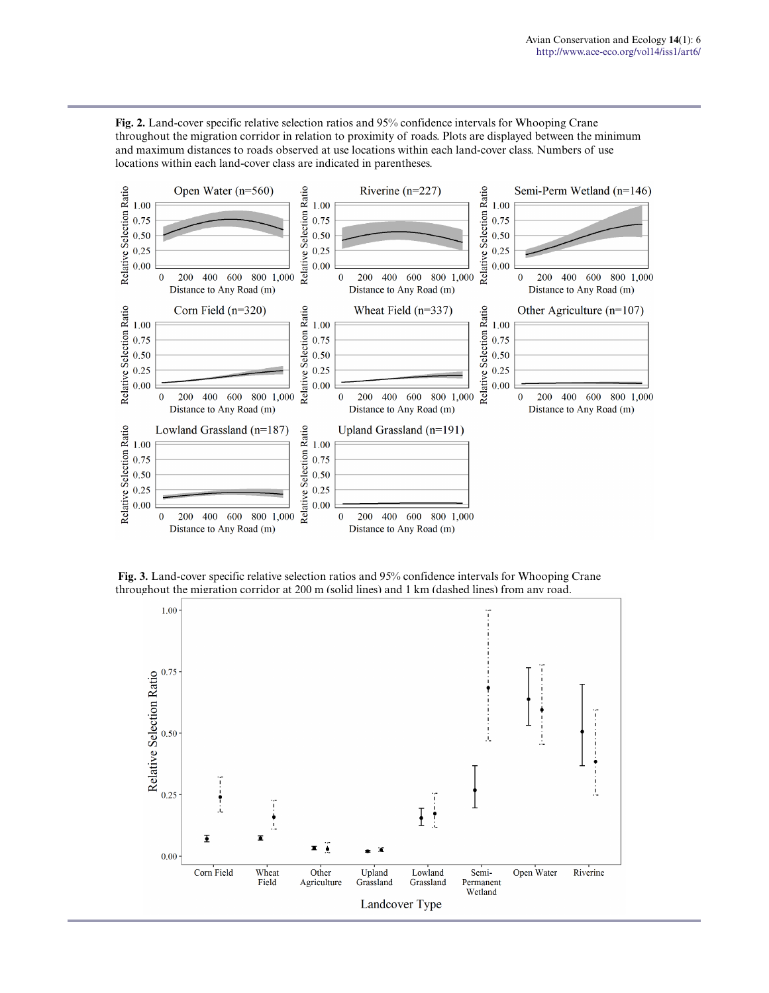**Fig. 2.** Land-cover specific relative selection ratios and 95% confidence intervals for Whooping Crane throughout the migration corridor in relation to proximity of roads. Plots are displayed between the minimum and maximum distances to roads observed at use locations within each land-cover class. Numbers of use locations within each land-cover class are indicated in parentheses.



**Fig. 3.** Land-cover specific relative selection ratios and 95% confidence intervals for Whooping Crane throughout the migration corridor at 200 m (solid lines) and 1 km (dashed lines) from any road.

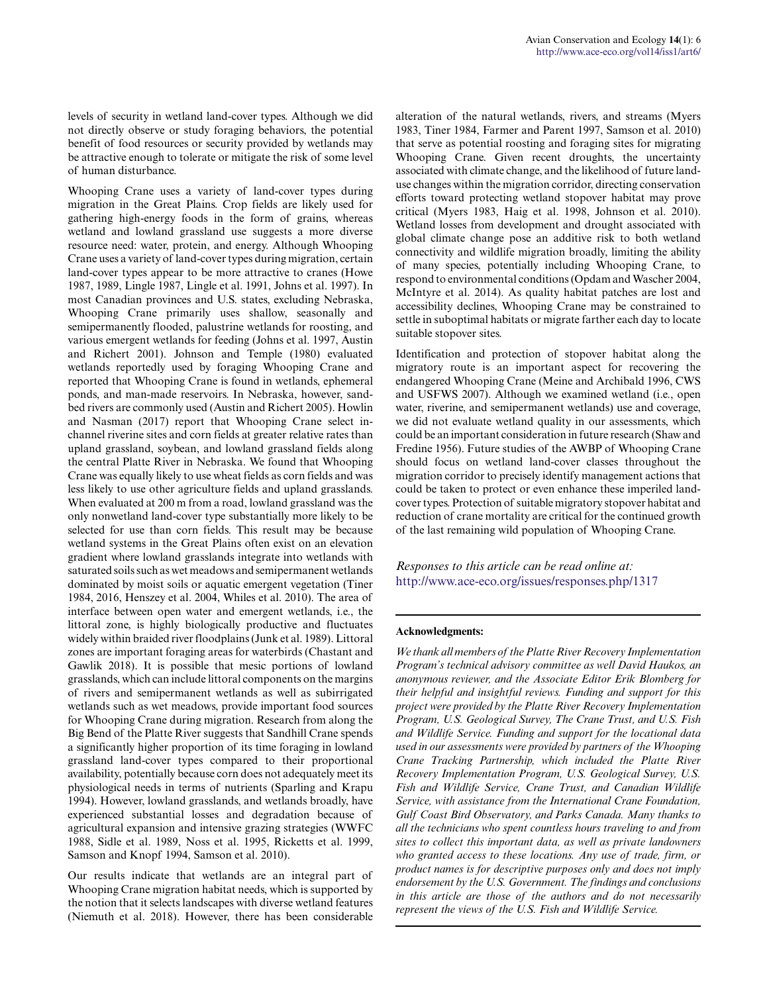levels of security in wetland land-cover types. Although we did not directly observe or study foraging behaviors, the potential benefit of food resources or security provided by wetlands may be attractive enough to tolerate or mitigate the risk of some level of human disturbance.

Whooping Crane uses a variety of land-cover types during migration in the Great Plains. Crop fields are likely used for gathering high-energy foods in the form of grains, whereas wetland and lowland grassland use suggests a more diverse resource need: water, protein, and energy. Although Whooping Crane uses a variety of land-cover types during migration, certain land-cover types appear to be more attractive to cranes (Howe 1987, 1989, Lingle 1987, Lingle et al. 1991, Johns et al. 1997). In most Canadian provinces and U.S. states, excluding Nebraska, Whooping Crane primarily uses shallow, seasonally and semipermanently flooded, palustrine wetlands for roosting, and various emergent wetlands for feeding (Johns et al. 1997, Austin and Richert 2001). Johnson and Temple (1980) evaluated wetlands reportedly used by foraging Whooping Crane and reported that Whooping Crane is found in wetlands, ephemeral ponds, and man-made reservoirs. In Nebraska, however, sandbed rivers are commonly used (Austin and Richert 2005). Howlin and Nasman (2017) report that Whooping Crane select inchannel riverine sites and corn fields at greater relative rates than upland grassland, soybean, and lowland grassland fields along the central Platte River in Nebraska. We found that Whooping Crane was equally likely to use wheat fields as corn fields and was less likely to use other agriculture fields and upland grasslands. When evaluated at 200 m from a road, lowland grassland was the only nonwetland land-cover type substantially more likely to be selected for use than corn fields. This result may be because wetland systems in the Great Plains often exist on an elevation gradient where lowland grasslands integrate into wetlands with saturated soils such as wet meadows and semipermanent wetlands dominated by moist soils or aquatic emergent vegetation (Tiner 1984, 2016, Henszey et al. 2004, Whiles et al. 2010). The area of interface between open water and emergent wetlands, i.e., the littoral zone, is highly biologically productive and fluctuates widely within braided river floodplains (Junk et al. 1989). Littoral zones are important foraging areas for waterbirds (Chastant and Gawlik 2018). It is possible that mesic portions of lowland grasslands, which can include littoral components on the margins of rivers and semipermanent wetlands as well as subirrigated wetlands such as wet meadows, provide important food sources for Whooping Crane during migration. Research from along the Big Bend of the Platte River suggests that Sandhill Crane spends a significantly higher proportion of its time foraging in lowland grassland land-cover types compared to their proportional availability, potentially because corn does not adequately meet its physiological needs in terms of nutrients (Sparling and Krapu 1994). However, lowland grasslands, and wetlands broadly, have experienced substantial losses and degradation because of agricultural expansion and intensive grazing strategies (WWFC 1988, Sidle et al. 1989, Noss et al. 1995, Ricketts et al. 1999, Samson and Knopf 1994, Samson et al. 2010).

Our results indicate that wetlands are an integral part of Whooping Crane migration habitat needs, which is supported by the notion that it selects landscapes with diverse wetland features (Niemuth et al. 2018). However, there has been considerable

alteration of the natural wetlands, rivers, and streams (Myers 1983, Tiner 1984, Farmer and Parent 1997, Samson et al. 2010) that serve as potential roosting and foraging sites for migrating Whooping Crane. Given recent droughts, the uncertainty associated with climate change, and the likelihood of future landuse changes within the migration corridor, directing conservation efforts toward protecting wetland stopover habitat may prove critical (Myers 1983, Haig et al. 1998, Johnson et al. 2010). Wetland losses from development and drought associated with global climate change pose an additive risk to both wetland connectivity and wildlife migration broadly, limiting the ability of many species, potentially including Whooping Crane, to respond to environmental conditions (Opdam and Wascher 2004, McIntyre et al. 2014). As quality habitat patches are lost and accessibility declines, Whooping Crane may be constrained to settle in suboptimal habitats or migrate farther each day to locate suitable stopover sites.

Identification and protection of stopover habitat along the migratory route is an important aspect for recovering the endangered Whooping Crane (Meine and Archibald 1996, CWS and USFWS 2007). Although we examined wetland (i.e., open water, riverine, and semipermanent wetlands) use and coverage, we did not evaluate wetland quality in our assessments, which could be an important consideration in future research (Shaw and Fredine 1956). Future studies of the AWBP of Whooping Crane should focus on wetland land-cover classes throughout the migration corridor to precisely identify management actions that could be taken to protect or even enhance these imperiled landcover types. Protection of suitable migratory stopover habitat and reduction of crane mortality are critical for the continued growth of the last remaining wild population of Whooping Crane.

*Responses to this article can be read online at:* <http://www.ace-eco.org/issues/responses.php/1317>

#### **Acknowledgments:**

*We thank all members of the Platte River Recovery Implementation Program's technical advisory committee as well David Haukos, an anonymous reviewer, and the Associate Editor Erik Blomberg for their helpful and insightful reviews. Funding and support for this project were provided by the Platte River Recovery Implementation Program, U.S. Geological Survey, The Crane Trust, and U.S. Fish and Wildlife Service. Funding and support for the locational data used in our assessments were provided by partners of the Whooping Crane Tracking Partnership, which included the Platte River Recovery Implementation Program, U.S. Geological Survey, U.S. Fish and Wildlife Service, Crane Trust, and Canadian Wildlife Service, with assistance from the International Crane Foundation, Gulf Coast Bird Observatory, and Parks Canada. Many thanks to all the technicians who spent countless hours traveling to and from sites to collect this important data, as well as private landowners who granted access to these locations. Any use of trade, firm, or product names is for descriptive purposes only and does not imply endorsement by the U.S. Government. The findings and conclusions in this article are those of the authors and do not necessarily represent the views of the U.S. Fish and Wildlife Service.*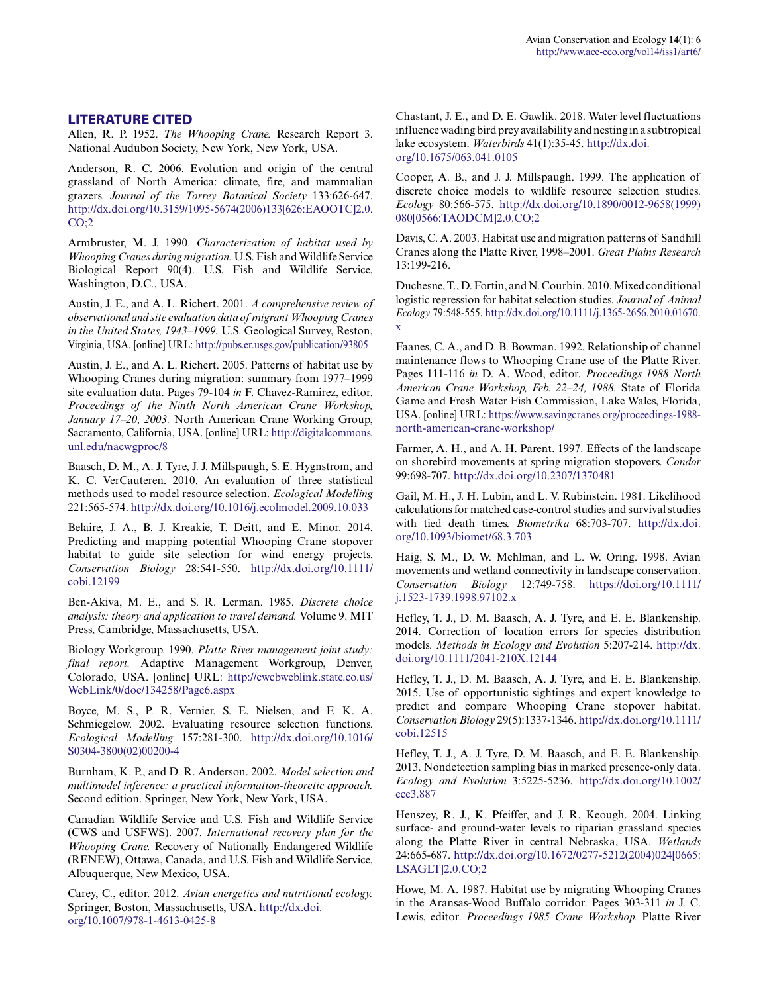#### **LITERATURE CITED**

Allen, R. P. 1952. *The Whooping Crane.* Research Report 3. National Audubon Society, New York, New York, USA.

Anderson, R. C. 2006. Evolution and origin of the central grassland of North America: climate, fire, and mammalian grazers. *Journal of the Torrey Botanical Society* 133:626-647. [http://dx.doi.org/10.3159/1095-5674\(2006\)133\[626:EAOOTC\]2.0.](http://dx.doi.org/10.3159/1095-5674%282006%29133%5B626%3AEAOOTC%5D2.0.CO%3B2)  $CO:2$ 

Armbruster, M. J. 1990. *Characterization of habitat used by Whooping Cranes during migration.* U.S. Fish and Wildlife Service Biological Report 90(4). U.S. Fish and Wildlife Service, Washington, D.C., USA.

Austin, J. E., and A. L. Richert. 2001. *A comprehensive review of observational and site evaluation data of migrant Whooping Cranes in the United States, 1943–1999.* U.S. Geological Survey, Reston, Virginia, USA. [online] URL: <http://pubs.er.usgs.gov/publication/93805>

Austin, J. E., and A. L. Richert. 2005. Patterns of habitat use by Whooping Cranes during migration: summary from 1977–1999 site evaluation data. Pages 79-104 *in* F. Chavez-Ramirez, editor. *Proceedings of the Ninth North American Crane Workshop, January 17–20, 2003.* North American Crane Working Group, Sacramento, California, USA. [online] URL: [http://digitalcommons.](http://digitalcommons.unl.edu/nacwgproc/8) [unl.edu/nacwgproc/8](http://digitalcommons.unl.edu/nacwgproc/8) 

Baasch, D. M., A. J. Tyre, J. J. Millspaugh, S. E. Hygnstrom, and K. C. VerCauteren. 2010. An evaluation of three statistical methods used to model resource selection. *Ecological Modelling* 221:565-574.<http://dx.doi.org/10.1016/j.ecolmodel.2009.10.033>

Belaire, J. A., B. J. Kreakie, T. Deitt, and E. Minor. 2014. Predicting and mapping potential Whooping Crane stopover habitat to guide site selection for wind energy projects. *Conservation Biology* 28:541-550. [http://dx.doi.org/10.1111/](http://dx.doi.org/10.1111/cobi.12199) [cobi.12199](http://dx.doi.org/10.1111/cobi.12199)

Ben-Akiva, M. E., and S. R. Lerman. 1985. *Discrete choice analysis: theory and application to travel demand.* Volume 9. MIT Press, Cambridge, Massachusetts, USA.

Biology Workgroup. 1990. *Platte River management joint study: final report.* Adaptive Management Workgroup, Denver, Colorado, USA. [online] URL: [http://cwcbweblink.state.co.us/](http://cwcbweblink.state.co.us/WebLink/0/doc/134258/Page6.aspx) [WebLink/0/doc/134258/Page6.aspx](http://cwcbweblink.state.co.us/WebLink/0/doc/134258/Page6.aspx)

Boyce, M. S., P. R. Vernier, S. E. Nielsen, and F. K. A. Schmiegelow. 2002. Evaluating resource selection functions. *Ecological Modelling* 157:281-300. [http://dx.doi.org/10.1016/](http://dx.doi.org/10.1016/S0304-3800%2802%2900200-4) [S0304-3800\(02\)00200-4](http://dx.doi.org/10.1016/S0304-3800%2802%2900200-4) 

Burnham, K. P., and D. R. Anderson. 2002. *Model selection and multimodel inference: a practical information-theoretic approach.* Second edition. Springer, New York, New York, USA.

Canadian Wildlife Service and U.S. Fish and Wildlife Service (CWS and USFWS). 2007. *International recovery plan for the Whooping Crane.* Recovery of Nationally Endangered Wildlife (RENEW), Ottawa, Canada, and U.S. Fish and Wildlife Service, Albuquerque, New Mexico, USA.

Carey, C., editor. 2012. *Avian energetics and nutritional ecology.* Springer, Boston, Massachusetts, USA. [http://dx.doi.](http://dx.doi.org/10.1007/978-1-4613-0425-8) [org/10.1007/978-1-4613-0425-8](http://dx.doi.org/10.1007/978-1-4613-0425-8) 

Chastant, J. E., and D. E. Gawlik. 2018. Water level fluctuations influence wading bird prey availability and nesting in a subtropical lake ecosystem. *Waterbirds* 41(1):35-45. [http://dx.doi.](http://dx.doi.org/10.1675/063.041.0105) [org/10.1675/063.041.0105](http://dx.doi.org/10.1675/063.041.0105)

Cooper, A. B., and J. J. Millspaugh. 1999. The application of discrete choice models to wildlife resource selection studies. *Ecology* 80:566-575. [http://dx.doi.org/10.1890/0012-9658\(1999\)](http://dx.doi.org/10.1890/0012-9658%281999%29080%5B0566%3ATAODCM%5D2.0.CO%3B2) [080\[0566:TAODCM\]2.0.CO;2](http://dx.doi.org/10.1890/0012-9658%281999%29080%5B0566%3ATAODCM%5D2.0.CO%3B2) 

Davis, C. A. 2003. Habitat use and migration patterns of Sandhill Cranes along the Platte River, 1998–2001. *Great Plains Research* 13:199-216.

Duchesne, T., D. Fortin, and N. Courbin. 2010. Mixed conditional logistic regression for habitat selection studies. *Journal of Animal Ecology* 79:548-555. [http://dx.doi.org/10.1111/j.1365-2656.2010.01670.](http://dx.doi.org/10.1111/j.1365-2656.2010.01670.x) [x](http://dx.doi.org/10.1111/j.1365-2656.2010.01670.x) 

Faanes, C. A., and D. B. Bowman. 1992. Relationship of channel maintenance flows to Whooping Crane use of the Platte River. Pages 111-116 *in* D. A. Wood, editor. *Proceedings 1988 North American Crane Workshop, Feb. 22–24, 1988.* State of Florida Game and Fresh Water Fish Commission, Lake Wales, Florida, USA. [online] URL: [https://www.savingcranes.org/proceedings-1988](https://www.savingcranes.org/proceedings-1988-north-american-crane-workshop/) [north-american-crane-workshop/](https://www.savingcranes.org/proceedings-1988-north-american-crane-workshop/) 

Farmer, A. H., and A. H. Parent. 1997. Effects of the landscape on shorebird movements at spring migration stopovers. *Condor* 99:698-707.<http://dx.doi.org/10.2307/1370481>

Gail, M. H., J. H. Lubin, and L. V. Rubinstein. 1981. Likelihood calculations for matched case-control studies and survival studies with tied death times. *Biometrika* 68:703-707. [http://dx.doi.](http://dx.doi.org/10.1093/biomet/68.3.703) [org/10.1093/biomet/68.3.703](http://dx.doi.org/10.1093/biomet/68.3.703)

Haig, S. M., D. W. Mehlman, and L. W. Oring. 1998. Avian movements and wetland connectivity in landscape conservation. *Conservation Biology* 12:749-758. [https://doi.org/10.1111/](https://doi.org/10.1111/j.1523-1739.1998.97102.x) [j.1523-1739.1998.97102.x](https://doi.org/10.1111/j.1523-1739.1998.97102.x)

Hefley, T. J., D. M. Baasch, A. J. Tyre, and E. E. Blankenship. 2014. Correction of location errors for species distribution models. *Methods in Ecology and Evolution* 5:207-214. [http://dx.](http://dx.doi.org/10.1111/2041-210X.12144) [doi.org/10.1111/2041-210X.12144](http://dx.doi.org/10.1111/2041-210X.12144)

Hefley, T. J., D. M. Baasch, A. J. Tyre, and E. E. Blankenship. 2015. Use of opportunistic sightings and expert knowledge to predict and compare Whooping Crane stopover habitat. *Conservation Biology* 29(5):1337-1346. [http://dx.doi.org/10.1111/](http://dx.doi.org/10.1111/cobi.12515) [cobi.12515](http://dx.doi.org/10.1111/cobi.12515)

Hefley, T. J., A. J. Tyre, D. M. Baasch, and E. E. Blankenship. 2013. Nondetection sampling bias in marked presence-only data. *Ecology and Evolution* 3:5225-5236. [http://dx.doi.org/10.1002/](http://dx.doi.org/10.1002/ece3.887) [ece3.887](http://dx.doi.org/10.1002/ece3.887)

Henszey, R. J., K. Pfeiffer, and J. R. Keough. 2004. Linking surface- and ground-water levels to riparian grassland species along the Platte River in central Nebraska, USA. *Wetlands* 24:665-687. [http://dx.doi.org/10.1672/0277-5212\(2004\)024\[0665:](http://dx.doi.org/10.1672/0277-5212%282004%29024%5B0665%3ALSAGLT%5D2.0.CO%3B2) [LSAGLT\]2.0.CO;2](http://dx.doi.org/10.1672/0277-5212%282004%29024%5B0665%3ALSAGLT%5D2.0.CO%3B2) 

Howe, M. A. 1987. Habitat use by migrating Whooping Cranes in the Aransas-Wood Buffalo corridor. Pages 303-311 *in* J. C. Lewis, editor. *Proceedings 1985 Crane Workshop.* Platte River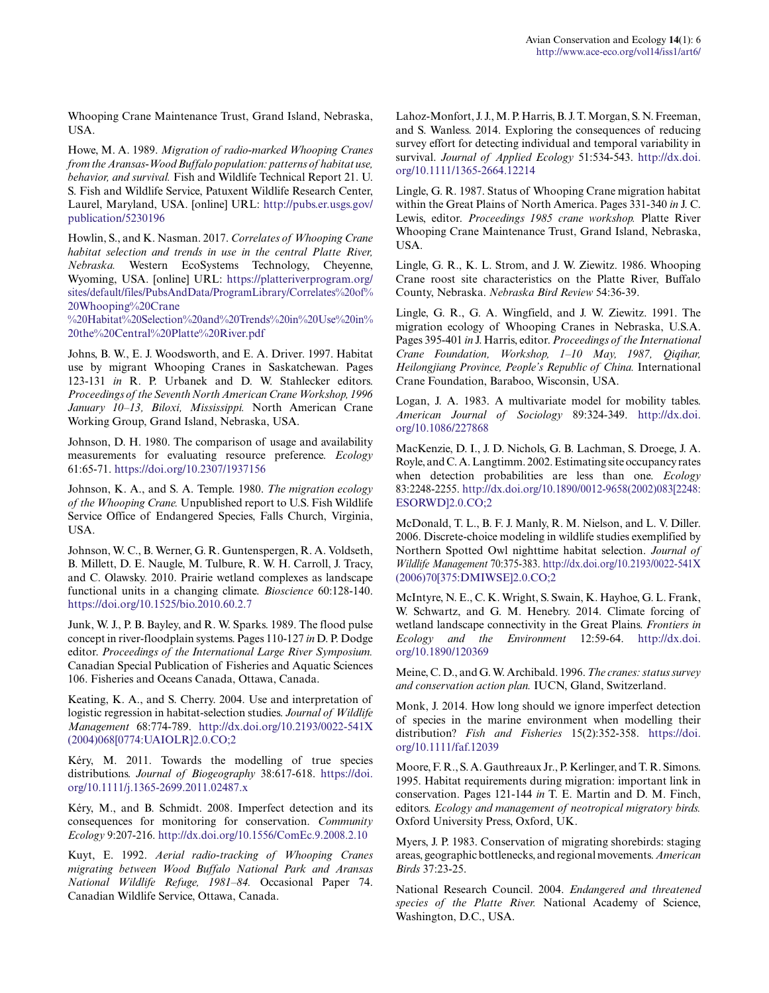Whooping Crane Maintenance Trust, Grand Island, Nebraska, USA.

Howe, M. A. 1989. *Migration of radio-marked Whooping Cranes from the Aransas-Wood Buffalo population: patterns of habitat use, behavior, and survival.* Fish and Wildlife Technical Report 21. U. S. Fish and Wildlife Service, Patuxent Wildlife Research Center, Laurel, Maryland, USA. [online] URL: [http://pubs.er.usgs.gov/](http://pubs.er.usgs.gov/publication/5230196) [publication/5230196](http://pubs.er.usgs.gov/publication/5230196)

Howlin, S., and K. Nasman. 2017. *Correlates of Whooping Crane habitat selection and trends in use in the central Platte River, Nebraska.* Western EcoSystems Technology, Cheyenne, Wyoming, USA. [online] URL: [https://platteriverprogram.org/](https://platteriverprogram.org/sites/default/files/PubsAndData/ProgramLibrary/Correlates%20of%20Whooping%20Crane%20Habitat%20Selection%20and%20Trends%20in%20Use%20in%20the%20Central%20Platte%20River.pdf) [sites/default/files/PubsAndData/ProgramLibrary/Correlates%20of%](https://platteriverprogram.org/sites/default/files/PubsAndData/ProgramLibrary/Correlates%20of%20Whooping%20Crane%20Habitat%20Selection%20and%20Trends%20in%20Use%20in%20the%20Central%20Platte%20River.pdf) [20Whooping%20Crane](https://platteriverprogram.org/sites/default/files/PubsAndData/ProgramLibrary/Correlates%20of%20Whooping%20Crane%20Habitat%20Selection%20and%20Trends%20in%20Use%20in%20the%20Central%20Platte%20River.pdf)

[%20Habitat%20Selection%20and%20Trends%20in%20Use%20in%](https://platteriverprogram.org/sites/default/files/PubsAndData/ProgramLibrary/Correlates%20of%20Whooping%20Crane%20Habitat%20Selection%20and%20Trends%20in%20Use%20in%20the%20Central%20Platte%20River.pdf) [20the%20Central%20Platte%20River.pdf](https://platteriverprogram.org/sites/default/files/PubsAndData/ProgramLibrary/Correlates%20of%20Whooping%20Crane%20Habitat%20Selection%20and%20Trends%20in%20Use%20in%20the%20Central%20Platte%20River.pdf)

Johns, B. W., E. J. Woodsworth, and E. A. Driver. 1997. Habitat use by migrant Whooping Cranes in Saskatchewan. Pages 123-131 *in* R. P. Urbanek and D. W. Stahlecker editors. *Proceedings of the Seventh North American Crane Workshop, 1996 January 10–13, Biloxi, Mississippi.* North American Crane Working Group, Grand Island, Nebraska, USA.

Johnson, D. H. 1980. The comparison of usage and availability measurements for evaluating resource preference. *Ecology* 61:65-71.<https://doi.org/10.2307/1937156>

Johnson, K. A., and S. A. Temple. 1980. *The migration ecology of the Whooping Crane.* Unpublished report to U.S. Fish Wildlife Service Office of Endangered Species, Falls Church, Virginia, USA.

Johnson, W. C., B. Werner, G. R. Guntenspergen, R. A. Voldseth, B. Millett, D. E. Naugle, M. Tulbure, R. W. H. Carroll, J. Tracy, and C. Olawsky. 2010. Prairie wetland complexes as landscape functional units in a changing climate. *Bioscience* 60:128-140. <https://doi.org/10.1525/bio.2010.60.2.7>

Junk, W. J., P. B. Bayley, and R. W. Sparks. 1989. The flood pulse concept in river-floodplain systems. Pages 110-127 *in* D. P. Dodge editor. *Proceedings of the International Large River Symposium.* Canadian Special Publication of Fisheries and Aquatic Sciences 106. Fisheries and Oceans Canada, Ottawa, Canada.

Keating, K. A., and S. Cherry. 2004. Use and interpretation of logistic regression in habitat-selection studies. *Journal of Wildlife Management* 68:774-789. [http://dx.doi.org/10.2193/0022-541X](http://dx.doi.org/10.2193/0022-541X%282004%29068%5B0774%3AUAIOLR%5D2.0.CO%3B2) [\(2004\)068\[0774:UAIOLR\]2.0.CO;2](http://dx.doi.org/10.2193/0022-541X%282004%29068%5B0774%3AUAIOLR%5D2.0.CO%3B2)

Kéry, M. 2011. Towards the modelling of true species distributions. *Journal of Biogeography* 38:617-618. [https://doi.](https://doi.org/10.1111/j.1365-2699.2011.02487.x) [org/10.1111/j.1365-2699.2011.02487.x](https://doi.org/10.1111/j.1365-2699.2011.02487.x)

Kéry, M., and B. Schmidt. 2008. Imperfect detection and its consequences for monitoring for conservation. *Community Ecology* 9:207-216. <http://dx.doi.org/10.1556/ComEc.9.2008.2.10>

Kuyt, E. 1992. *Aerial radio-tracking of Whooping Cranes migrating between Wood Buffalo National Park and Aransas National Wildlife Refuge, 1981–84.* Occasional Paper 74. Canadian Wildlife Service, Ottawa, Canada.

Lahoz-Monfort, J. J., M. P. Harris, B. J. T. Morgan, S. N. Freeman, and S. Wanless. 2014. Exploring the consequences of reducing survey effort for detecting individual and temporal variability in survival. *Journal of Applied Ecology* 51:534-543. [http://dx.doi.](http://dx.doi.org/10.1111/1365-2664.12214) [org/10.1111/1365-2664.12214](http://dx.doi.org/10.1111/1365-2664.12214)

Lingle, G. R. 1987. Status of Whooping Crane migration habitat within the Great Plains of North America. Pages 331-340 *in* J. C. Lewis, editor. *Proceedings 1985 crane workshop.* Platte River Whooping Crane Maintenance Trust, Grand Island, Nebraska, USA.

Lingle, G. R., K. L. Strom, and J. W. Ziewitz. 1986. Whooping Crane roost site characteristics on the Platte River, Buffalo County, Nebraska. *Nebraska Bird Review* 54:36-39.

Lingle, G. R., G. A. Wingfield, and J. W. Ziewitz. 1991. The migration ecology of Whooping Cranes in Nebraska, U.S.A. Pages 395-401 *in* J. Harris, editor. *Proceedings of the International Crane Foundation, Workshop, 1–10 May, 1987, Qiqihar, Heilongjiang Province, People's Republic of China.* International Crane Foundation, Baraboo, Wisconsin, USA.

Logan, J. A. 1983. A multivariate model for mobility tables. *American Journal of Sociology* 89:324-349. [http://dx.doi.](http://dx.doi.org/10.1086/227868) [org/10.1086/227868](http://dx.doi.org/10.1086/227868)

MacKenzie, D. I., J. D. Nichols, G. B. Lachman, S. Droege, J. A. Royle, and C. A. Langtimm. 2002. Estimating site occupancy rates when detection probabilities are less than one. *Ecology* 83:2248-2255. [http://dx.doi.org/10.1890/0012-9658\(2002\)083\[2248:](http://dx.doi.org/10.1890/0012-9658%282002%29083%5B2248%3AESORWD%5D2.0.CO%3B2) [ESORWD\]2.0.CO;2](http://dx.doi.org/10.1890/0012-9658%282002%29083%5B2248%3AESORWD%5D2.0.CO%3B2) 

McDonald, T. L., B. F. J. Manly, R. M. Nielson, and L. V. Diller. 2006. Discrete-choice modeling in wildlife studies exemplified by Northern Spotted Owl nighttime habitat selection. *Journal of Wildlife Management* 70:375-383. [http://dx.doi.org/10.2193/0022-541X](http://dx.doi.org/10.2193/0022-541X%282006%2970%5B375%3ADMIWSE%5D2.0.CO%3B2) [\(2006\)70\[375:DMIWSE\]2.0.CO;2](http://dx.doi.org/10.2193/0022-541X%282006%2970%5B375%3ADMIWSE%5D2.0.CO%3B2) 

McIntyre, N. E., C. K. Wright, S. Swain, K. Hayhoe, G. L. Frank, W. Schwartz, and G. M. Henebry. 2014. Climate forcing of wetland landscape connectivity in the Great Plains. *Frontiers in Ecology and the Environment* 12:59-64. [http://dx.doi.](http://dx.doi.org/10.1890/120369) [org/10.1890/120369](http://dx.doi.org/10.1890/120369)

Meine, C. D., and G. W. Archibald. 1996. *The cranes: status survey and conservation action plan.* IUCN, Gland, Switzerland.

Monk, J. 2014. How long should we ignore imperfect detection of species in the marine environment when modelling their distribution? *Fish and Fisheries* 15(2):352-358. [https://doi.](https://doi.org/10.1111/faf.12039) [org/10.1111/faf.12039](https://doi.org/10.1111/faf.12039)

Moore, F. R., S. A. Gauthreaux Jr., P. Kerlinger, and T. R. Simons. 1995. Habitat requirements during migration: important link in conservation. Pages 121-144 *in* T. E. Martin and D. M. Finch, editors. *Ecology and management of neotropical migratory birds.* Oxford University Press, Oxford, UK.

Myers, J. P. 1983. Conservation of migrating shorebirds: staging areas, geographic bottlenecks, and regional movements. *American Birds* 37:23-25.

National Research Council. 2004. *Endangered and threatened species of the Platte River.* National Academy of Science, Washington, D.C., USA.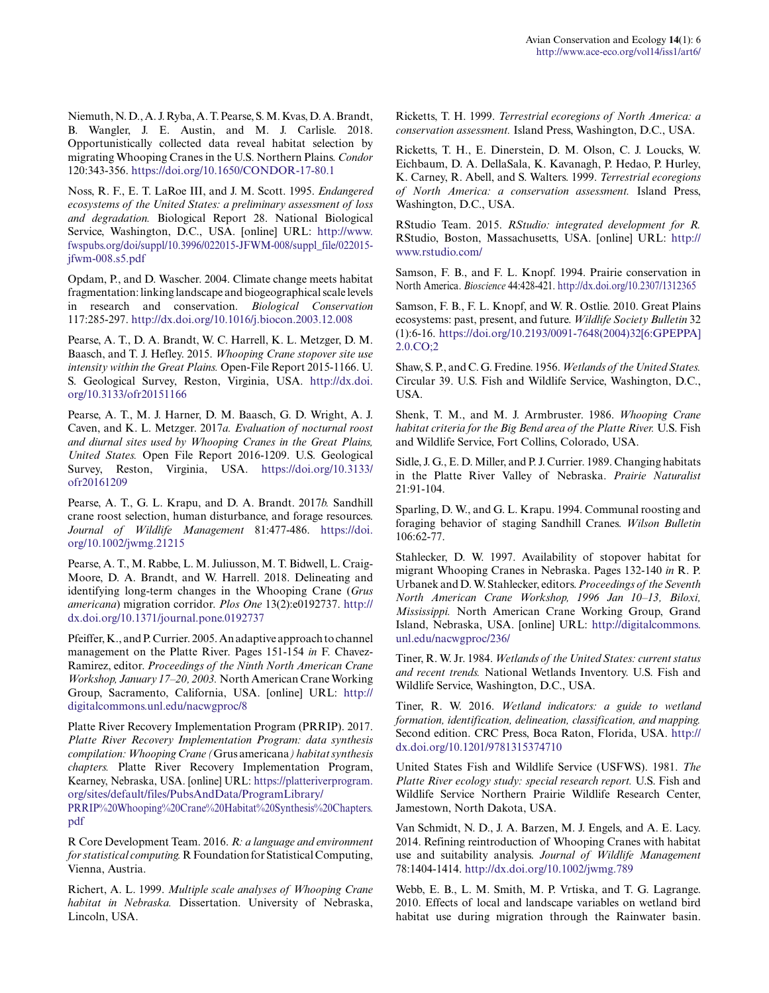Niemuth, N. D., A. J. Ryba, A. T. Pearse, S. M. Kvas, D. A. Brandt, B. Wangler, J. E. Austin, and M. J. Carlisle. 2018. Opportunistically collected data reveal habitat selection by migrating Whooping Cranes in the U.S. Northern Plains. *Condor* 120:343-356. <https://doi.org/10.1650/CONDOR-17-80.1>

Noss, R. F., E. T. LaRoe III, and J. M. Scott. 1995. *Endangered ecosystems of the United States: a preliminary assessment of loss and degradation.* Biological Report 28. National Biological Service, Washington, D.C., USA. [online] URL: [http://www.](http://www.fwspubs.org/doi/suppl/10.3996/022015-JFWM-008/suppl_file/022015-jfwm-008.s5.pdf) [fwspubs.org/doi/suppl/10.3996/022015-JFWM-008/suppl\\_file/022015](http://www.fwspubs.org/doi/suppl/10.3996/022015-JFWM-008/suppl_file/022015-jfwm-008.s5.pdf) [jfwm-008.s5.pdf](http://www.fwspubs.org/doi/suppl/10.3996/022015-JFWM-008/suppl_file/022015-jfwm-008.s5.pdf)

Opdam, P., and D. Wascher. 2004. Climate change meets habitat fragmentation: linking landscape and biogeographical scale levels in research and conservation. *Biological Conservation* 117:285-297. <http://dx.doi.org/10.1016/j.biocon.2003.12.008>

Pearse, A. T., D. A. Brandt, W. C. Harrell, K. L. Metzger, D. M. Baasch, and T. J. Hefley. 2015. *Whooping Crane stopover site use intensity within the Great Plains.* Open-File Report 2015-1166. U. S. Geological Survey, Reston, Virginia, USA. [http://dx.doi.](http://dx.doi.org/10.3133/ofr20151166) [org/10.3133/ofr20151166](http://dx.doi.org/10.3133/ofr20151166) 

Pearse, A. T., M. J. Harner, D. M. Baasch, G. D. Wright, A. J. Caven, and K. L. Metzger. 2017*a. Evaluation of nocturnal roost and diurnal sites used by Whooping Cranes in the Great Plains, United States.* Open File Report 2016-1209. U.S. Geological Survey, Reston, Virginia, USA. [https://doi.org/10.3133/](https://doi.org/10.3133/ofr20161209) [ofr20161209](https://doi.org/10.3133/ofr20161209)

Pearse, A. T., G. L. Krapu, and D. A. Brandt. 2017*b.* Sandhill crane roost selection, human disturbance, and forage resources. *Journal of Wildlife Management* 81:477-486. [https://doi.](https://doi.org/10.1002/jwmg.21215) [org/10.1002/jwmg.21215](https://doi.org/10.1002/jwmg.21215) 

Pearse, A. T., M. Rabbe, L. M. Juliusson, M. T. Bidwell, L. Craig-Moore, D. A. Brandt, and W. Harrell. 2018. Delineating and identifying long-term changes in the Whooping Crane (*Grus americana*) migration corridor. *Plos One* 13(2):e0192737. [http://](http://dx.doi.org/10.1371/journal.pone.0192737) [dx.doi.org/10.1371/journal.pone.0192737](http://dx.doi.org/10.1371/journal.pone.0192737)

Pfeiffer, K., and P. Currier. 2005. An adaptive approach to channel management on the Platte River. Pages 151-154 *in* F. Chavez-Ramirez, editor. *Proceedings of the Ninth North American Crane Workshop, January 17–20, 2003.* North American Crane Working Group, Sacramento, California, USA. [online] URL: [http://](http://digitalcommons.unl.edu/nacwgproc/8) [digitalcommons.unl.edu/nacwgproc/8](http://digitalcommons.unl.edu/nacwgproc/8) 

Platte River Recovery Implementation Program (PRRIP). 2017. *Platte River Recovery Implementation Program: data synthesis compilation: Whooping Crane (*Grus americana*) habitat synthesis chapters.* Platte River Recovery Implementation Program, Kearney, Nebraska, USA. [online] URL: [https://platteriverprogram.](https://platteriverprogram.org/sites/default/files/PubsAndData/ProgramLibrary/PRRIP%20Whooping%20Crane%20Habitat%20Synthesis%20Chapters.pdf) [org/sites/default/files/PubsAndData/ProgramLibrary/](https://platteriverprogram.org/sites/default/files/PubsAndData/ProgramLibrary/PRRIP%20Whooping%20Crane%20Habitat%20Synthesis%20Chapters.pdf)

[PRRIP%20Whooping%20Crane%20Habitat%20Synthesis%20Chapters.](https://platteriverprogram.org/sites/default/files/PubsAndData/ProgramLibrary/PRRIP%20Whooping%20Crane%20Habitat%20Synthesis%20Chapters.pdf) [pdf](https://platteriverprogram.org/sites/default/files/PubsAndData/ProgramLibrary/PRRIP%20Whooping%20Crane%20Habitat%20Synthesis%20Chapters.pdf)

R Core Development Team. 2016. *R: a language and environment for statistical computing.* R Foundation for Statistical Computing, Vienna, Austria.

Richert, A. L. 1999. *Multiple scale analyses of Whooping Crane habitat in Nebraska.* Dissertation. University of Nebraska, Lincoln, USA.

Ricketts, T. H. 1999. *Terrestrial ecoregions of North America: a conservation assessment.* Island Press, Washington, D.C., USA.

Ricketts, T. H., E. Dinerstein, D. M. Olson, C. J. Loucks, W. Eichbaum, D. A. DellaSala, K. Kavanagh, P. Hedao, P. Hurley, K. Carney, R. Abell, and S. Walters. 1999. *Terrestrial ecoregions of North America: a conservation assessment.* Island Press, Washington, D.C., USA.

RStudio Team. 2015. *RStudio: integrated development for R.* RStudio, Boston, Massachusetts, USA. [online] URL: [http://](http://www.rstudio.com/) [www.rstudio.com/](http://www.rstudio.com/)

Samson, F. B., and F. L. Knopf. 1994. Prairie conservation in North America. *Bioscience* 44:428-421. <http://dx.doi.org/10.2307/1312365>

Samson, F. B., F. L. Knopf, and W. R. Ostlie. 2010. Great Plains ecosystems: past, present, and future. *Wildlife Society Bulletin* 32 (1):6-16. [https://doi.org/10.2193/0091-7648\(2004\)32\[6:GPEPPA\]](https://doi.org/10.2193/0091-7648(2004)32[6:GPEPPA]2.0.CO;2) [2.0.CO;2](https://doi.org/10.2193/0091-7648(2004)32[6:GPEPPA]2.0.CO;2)

Shaw, S. P., and C. G. Fredine. 1956. *Wetlands of the United States.* Circular 39. U.S. Fish and Wildlife Service, Washington, D.C., USA.

Shenk, T. M., and M. J. Armbruster. 1986. *Whooping Crane habitat criteria for the Big Bend area of the Platte River.* U.S. Fish and Wildlife Service, Fort Collins, Colorado, USA.

Sidle, J. G., E. D. Miller, and P. J. Currier. 1989. Changing habitats in the Platte River Valley of Nebraska. *Prairie Naturalist* 21:91-104.

Sparling, D. W., and G. L. Krapu. 1994. Communal roosting and foraging behavior of staging Sandhill Cranes. *Wilson Bulletin* 106:62-77.

Stahlecker, D. W. 1997. Availability of stopover habitat for migrant Whooping Cranes in Nebraska. Pages 132-140 *in* R. P. Urbanek and D. W. Stahlecker, editors. *Proceedings of the Seventh North American Crane Workshop, 1996 Jan 10–13, Biloxi, Mississippi.* North American Crane Working Group, Grand Island, Nebraska, USA. [online] URL: [http://digitalcommons.](http://digitalcommons.unl.edu/nacwgproc/236/) [unl.edu/nacwgproc/236/](http://digitalcommons.unl.edu/nacwgproc/236/)

Tiner, R. W. Jr. 1984. *Wetlands of the United States: current status and recent trends.* National Wetlands Inventory. U.S. Fish and Wildlife Service, Washington, D.C., USA.

Tiner, R. W. 2016. *Wetland indicators: a guide to wetland formation, identification, delineation, classification, and mapping.* Second edition. CRC Press, Boca Raton, Florida, USA. [http://](http://dx.doi.org/10.1201/9781315374710) [dx.doi.org/10.1201/9781315374710](http://dx.doi.org/10.1201/9781315374710)

United States Fish and Wildlife Service (USFWS). 1981. *The Platte River ecology study: special research report.* U.S. Fish and Wildlife Service Northern Prairie Wildlife Research Center, Jamestown, North Dakota, USA.

Van Schmidt, N. D., J. A. Barzen, M. J. Engels, and A. E. Lacy. 2014. Refining reintroduction of Whooping Cranes with habitat use and suitability analysis. *Journal of Wildlife Management* 78:1404-1414.<http://dx.doi.org/10.1002/jwmg.789>

Webb, E. B., L. M. Smith, M. P. Vrtiska, and T. G. Lagrange. 2010. Effects of local and landscape variables on wetland bird habitat use during migration through the Rainwater basin.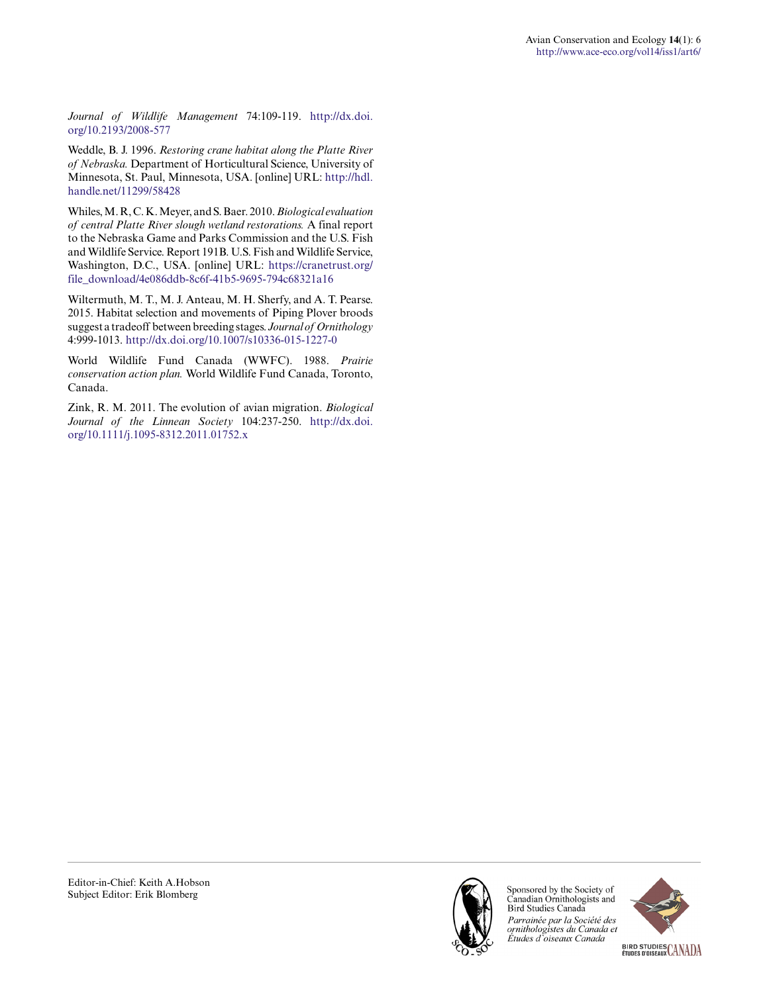*Journal of Wildlife Management* 74:109-119. [http://dx.doi.](http://dx.doi.org/10.2193/2008-577) [org/10.2193/2008-577](http://dx.doi.org/10.2193/2008-577) 

Weddle, B. J. 1996. *Restoring crane habitat along the Platte River of Nebraska.* Department of Horticultural Science, University of Minnesota, St. Paul, Minnesota, USA. [online] URL: [http://hdl.](http://hdl.handle.net/11299/58428) [handle.net/11299/58428](http://hdl.handle.net/11299/58428) 

Whiles, M. R, C. K. Meyer, and S. Baer. 2010. *Biological evaluation of central Platte River slough wetland restorations.* A final report to the Nebraska Game and Parks Commission and the U.S. Fish and Wildlife Service. Report 191B. U.S. Fish and Wildlife Service, Washington, D.C., USA. [online] URL: [https://cranetrust.org/](https://cranetrust.org/file_download/4e086ddb-8c6f-41b5-9695-794c68321a16) [file\\_download/4e086ddb-8c6f-41b5-9695-794c68321a16](https://cranetrust.org/file_download/4e086ddb-8c6f-41b5-9695-794c68321a16)

Wiltermuth, M. T., M. J. Anteau, M. H. Sherfy, and A. T. Pearse. 2015. Habitat selection and movements of Piping Plover broods suggest a tradeoff between breeding stages. *Journal of Ornithology* 4:999-1013.<http://dx.doi.org/10.1007/s10336-015-1227-0>

World Wildlife Fund Canada (WWFC). 1988. *Prairie conservation action plan.* World Wildlife Fund Canada, Toronto, Canada.

Zink, R. M. 2011. The evolution of avian migration. *Biological Journal of the Linnean Society* 104:237-250. [http://dx.doi.](http://dx.doi.org/10.1111/j.1095-8312.2011.01752.x) [org/10.1111/j.1095-8312.2011.01752.x](http://dx.doi.org/10.1111/j.1095-8312.2011.01752.x)





Sponsored by the Society of Canadian Ornithologists and Bird Studies Canada Parrainée par la Société des ornithologistes du Canada et<br>Études d`oiseaux Canada

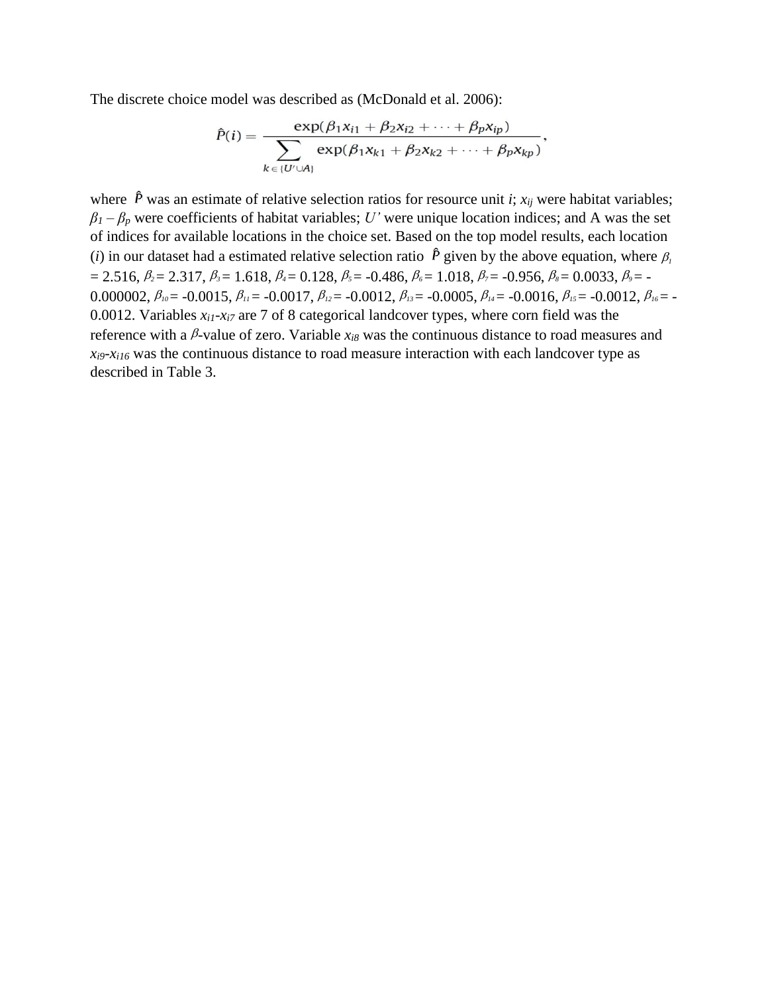The discrete choice model was described as (McDonald et al. 2006):

$$
\hat{P}(i) = \frac{\exp(\beta_1 x_{i1} + \beta_2 x_{i2} + \dots + \beta_p x_{ip})}{\sum_{k \in \{U' \cup A\}} \exp(\beta_1 x_{k1} + \beta_2 x_{k2} + \dots + \beta_p x_{kp})},
$$

where  $\hat{P}$  was an estimate of relative selection ratios for resource unit *i*;  $x_{ij}$  were habitat variables;  $\beta$ <sup>*1*</sup> –  $\beta$ <sup>*p*</sup> were coefficients of habitat variables; *U'* were unique location indices; and A was the set of indices for available locations in the choice set. Based on the top model results, each location (*i*) in our dataset had a estimated relative selection ratio  $\hat{P}$  given by the above equation, where  $\beta$  $= 2.516, \beta_2 = 2.317, \beta_3 = 1.618, \beta_4 = 0.128, \beta_5 = -0.486, \beta_6 = 1.018, \beta_7 = -0.956, \beta_8 = 0.0033, \beta_9 = -0.0033$ 0.000002,  $\beta_{10} = -0.0015$ ,  $\beta_{11} = -0.0017$ ,  $\beta_{12} = -0.0012$ ,  $\beta_{13} = -0.0005$ ,  $\beta_{14} = -0.0016$ ,  $\beta_{15} = -0.0012$ ,  $\beta_{16} = -0.00012$ 0.0012. Variables  $x_{i1}$ - $x_{i7}$  are 7 of 8 categorical landcover types, where corn field was the reference with a  $\beta$ -value of zero. Variable  $x_i$ <sup>8</sup> was the continuous distance to road measures and  $x_{i9}$ - $x_{i16}$  was the continuous distance to road measure interaction with each landcover type as described in Table 3.